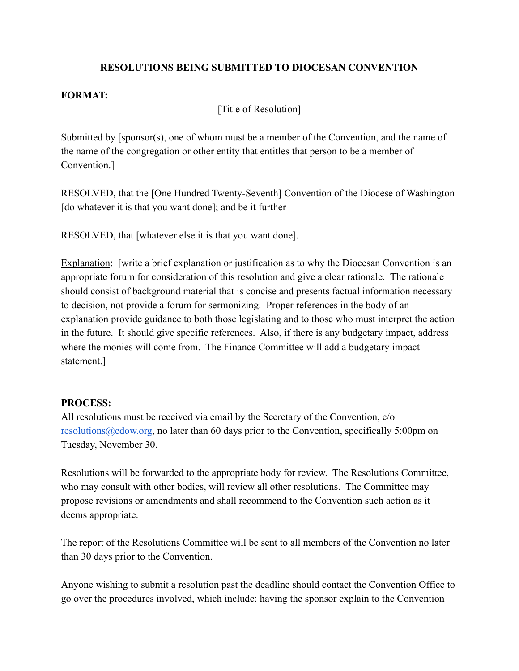# **RESOLUTIONS BEING SUBMITTED TO DIOCESAN CONVENTION**

## **FORMAT:**

[Title of Resolution]

Submitted by [sponsor(s), one of whom must be a member of the Convention, and the name of the name of the congregation or other entity that entitles that person to be a member of Convention.]

RESOLVED, that the [One Hundred Twenty-Seventh] Convention of the Diocese of Washington [do whatever it is that you want done]; and be it further

RESOLVED, that [whatever else it is that you want done].

Explanation: [write a brief explanation or justification as to why the Diocesan Convention is an appropriate forum for consideration of this resolution and give a clear rationale. The rationale should consist of background material that is concise and presents factual information necessary to decision, not provide a forum for sermonizing. Proper references in the body of an explanation provide guidance to both those legislating and to those who must interpret the action in the future. It should give specific references. Also, if there is any budgetary impact, address where the monies will come from. The Finance Committee will add a budgetary impact statement.]

### **PROCESS:**

All resolutions must be received via email by the Secretary of the Convention, c/o [resolutions@edow.org,](mailto:resolutions@edow.org) no later than 60 days prior to the Convention, specifically 5:00pm on Tuesday, November 30.

Resolutions will be forwarded to the appropriate body for review. The Resolutions Committee, who may consult with other bodies, will review all other resolutions. The Committee may propose revisions or amendments and shall recommend to the Convention such action as it deems appropriate.

The report of the Resolutions Committee will be sent to all members of the Convention no later than 30 days prior to the Convention.

Anyone wishing to submit a resolution past the deadline should contact the Convention Office to go over the procedures involved, which include: having the sponsor explain to the Convention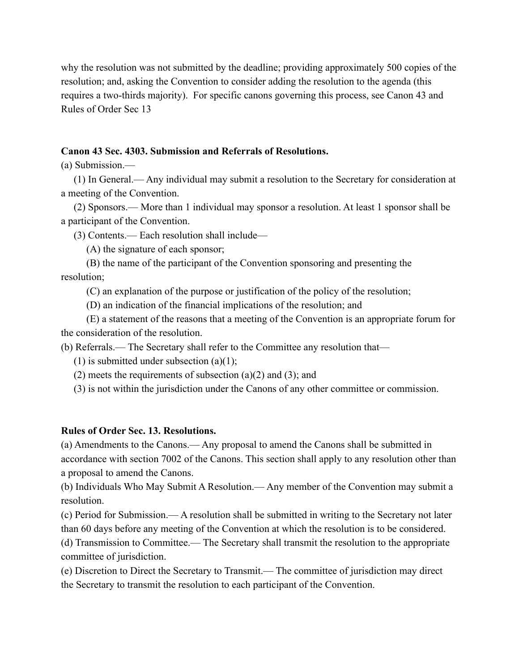why the resolution was not submitted by the deadline; providing approximately 500 copies of the resolution; and, asking the Convention to consider adding the resolution to the agenda (this requires a two-thirds majority). For specific canons governing this process, see Canon 43 and Rules of Order Sec 13

## **Canon 43 Sec. 4303. Submission and Referrals of Resolutions.**

(a) Submission.—

(1) In General.— Any individual may submit a resolution to the Secretary for consideration at a meeting of the Convention.

(2) Sponsors.— More than 1 individual may sponsor a resolution. At least 1 sponsor shall be a participant of the Convention.

(3) Contents.— Each resolution shall include—

(A) the signature of each sponsor;

(B) the name of the participant of the Convention sponsoring and presenting the resolution;

(C) an explanation of the purpose or justification of the policy of the resolution;

(D) an indication of the financial implications of the resolution; and

(E) a statement of the reasons that a meeting of the Convention is an appropriate forum for the consideration of the resolution.

(b) Referrals.— The Secretary shall refer to the Committee any resolution that—

(1) is submitted under subsection  $(a)(1)$ ;

(2) meets the requirements of subsection (a)(2) and (3); and

(3) is not within the jurisdiction under the Canons of any other committee or commission.

#### **Rules of Order Sec. 13. Resolutions.**

(a) Amendments to the Canons.— Any proposal to amend the Canons shall be submitted in accordance with section 7002 of the Canons. This section shall apply to any resolution other than a proposal to amend the Canons.

(b) Individuals Who May Submit A Resolution.— Any member of the Convention may submit a resolution.

(c) Period for Submission.— A resolution shall be submitted in writing to the Secretary not later than 60 days before any meeting of the Convention at which the resolution is to be considered.

(d) Transmission to Committee.— The Secretary shall transmit the resolution to the appropriate committee of jurisdiction.

(e) Discretion to Direct the Secretary to Transmit.— The committee of jurisdiction may direct the Secretary to transmit the resolution to each participant of the Convention.